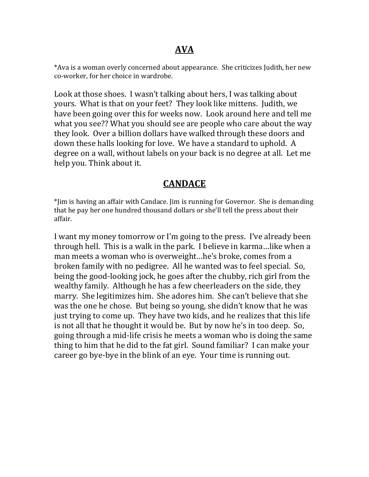\*Ava is a woman overly concerned about appearance. She criticizes Judith, her new co-worker, for her choice in wardrobe.

Look at those shoes. I wasn't talking about hers, I was talking about yours. What is that on your feet? They look like mittens. Judith, we have been going over this for weeks now. Look around here and tell me what you see?? What you should see are people who care about the way they look. Over a billion dollars have walked through these doors and down these halls looking for love. We have a standard to uphold. A degree on a wall, without labels on your back is no degree at all. Let me help you. Think about it.

# **CANDACE**

\*Jim is having an affair with Candace. Jim is running for Governor. She is demanding that he pay her one hundred thousand dollars or she'll tell the press about their affair.

I want my money tomorrow or I'm going to the press. I've already been through hell. This is a walk in the park. I believe in karma…like when a man meets a woman who is overweight…he's broke, comes from a broken family with no pedigree. All he wanted was to feel special. So, being the good-looking jock, he goes after the chubby, rich girl from the wealthy family. Although he has a few cheerleaders on the side, they marry. She legitimizes him. She adores him. She can't believe that she was the one he chose. But being so young, she didn't know that he was just trying to come up. They have two kids, and he realizes that this life is not all that he thought it would be. But by now he's in too deep. So, going through a mid-life crisis he meets a woman who is doing the same thing to him that he did to the fat girl. Sound familiar? I can make your career go bye-bye in the blink of an eye. Your time is running out.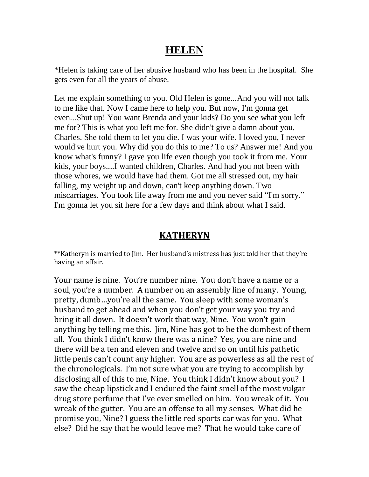# **HELEN**

\*Helen is taking care of her abusive husband who has been in the hospital. She gets even for all the years of abuse.

Let me explain something to you. Old Helen is gone...And you will not talk to me like that. Now I came here to help you. But now, I'm gonna get even...Shut up! You want Brenda and your kids? Do you see what you left me for? This is what you left me for. She didn't give a damn about you, Charles. She told them to let you die. I was your wife. I loved you, I never would've hurt you. Why did you do this to me? To us? Answer me! And you know what's funny? I gave you life even though you took it from me. Your kids, your boys....I wanted children, Charles. And had you not been with those whores, we would have had them. Got me all stressed out, my hair falling, my weight up and down, can't keep anything down. Two miscarriages. You took life away from me and you never said "I'm sorry." I'm gonna let you sit here for a few days and think about what I said.

#### **KATHERYN**

\*\*Katheryn is married to Jim. Her husband's mistress has just told her that they're having an affair.

Your name is nine. You're number nine. You don't have a name or a soul, you're a number. A number on an assembly line of many. Young, pretty, dumb…you're all the same. You sleep with some woman's husband to get ahead and when you don't get your way you try and bring it all down. It doesn't work that way, Nine. You won't gain anything by telling me this. Jim, Nine has got to be the dumbest of them all. You think I didn't know there was a nine? Yes, you are nine and there will be a ten and eleven and twelve and so on until his pathetic little penis can't count any higher. You are as powerless as all the rest of the chronologicals. I'm not sure what you are trying to accomplish by disclosing all of this to me, Nine. You think I didn't know about you? I saw the cheap lipstick and I endured the faint smell of the most vulgar drug store perfume that I've ever smelled on him. You wreak of it. You wreak of the gutter. You are an offense to all my senses. What did he promise you, Nine? I guess the little red sports car was for you. What else? Did he say that he would leave me? That he would take care of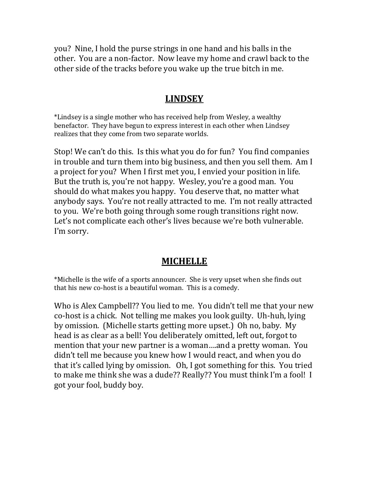you? Nine, I hold the purse strings in one hand and his balls in the other. You are a non-factor. Now leave my home and crawl back to the other side of the tracks before you wake up the true bitch in me.

#### **LINDSEY**

\*Lindsey is a single mother who has received help from Wesley, a wealthy benefactor. They have begun to express interest in each other when Lindsey realizes that they come from two separate worlds.

Stop! We can't do this. Is this what you do for fun? You find companies in trouble and turn them into big business, and then you sell them. Am I a project for you? When I first met you, I envied your position in life. But the truth is, you're not happy. Wesley, you're a good man. You should do what makes you happy. You deserve that, no matter what anybody says. You're not really attracted to me. I'm not really attracted to you. We're both going through some rough transitions right now. Let's not complicate each other's lives because we're both vulnerable. I'm sorry.

### **MICHELLE**

\*Michelle is the wife of a sports announcer. She is very upset when she finds out that his new co-host is a beautiful woman. This is a comedy.

Who is Alex Campbell?? You lied to me. You didn't tell me that your new co-host is a chick. Not telling me makes you look guilty. Uh-huh, lying by omission. (Michelle starts getting more upset.) Oh no, baby. My head is as clear as a bell! You deliberately omitted, left out, forgot to mention that your new partner is a woman….and a pretty woman. You didn't tell me because you knew how I would react, and when you do that it's called lying by omission. Oh, I got something for this. You tried to make me think she was a dude?? Really?? You must think I'm a fool! I got your fool, buddy boy.